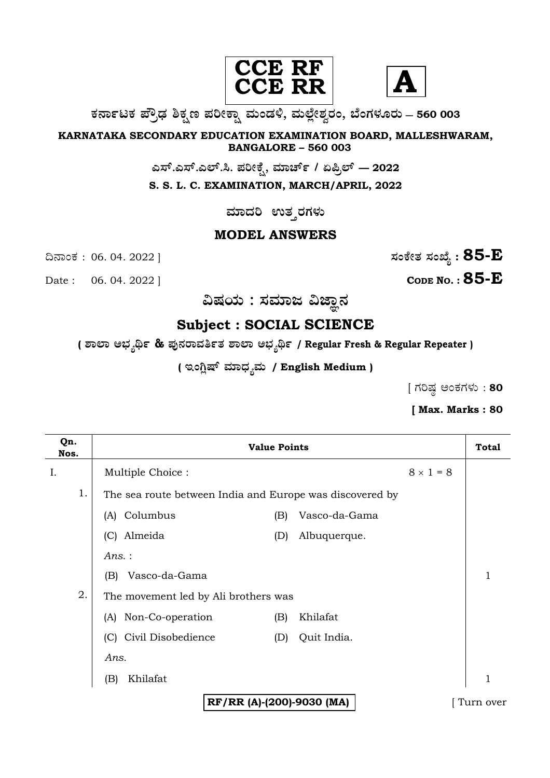



**O⁄´¤%lO⁄ ÆË√v⁄ ÃO⁄–y Æ⁄¬fiO¤– »⁄flMs⁄ÿ, »⁄fl≈Ê«fiÀ⁄ ¡⁄M, ∑ÊMV⁄◊⁄‡¡⁄fl — 560 003** 

**KARNATAKA SECONDARY EDUCATION EXAMINATION BOARD, MALLESHWARAM, BANGALORE – 560 003** 

**G—È.G—È.G≈È.". Æ⁄¬fiOÊ⁄–, »⁄·¤^È% / HØ√≈È — 2022**

**S. S. L. C. EXAMINATION, MARCH/APRIL, 2022** 

ಮಾದರಿ ಉತ**್ತರಗ**ಳು

## **MODEL ANSWERS**

Date : 06. 04. 2022 ] **CODE NO. : 85-E** 

 $\alpha$ ನಾಂಕ : 06. 04. 2022 ]  $\alpha$ 

 $\alpha$ ಷಯ : ಸಮಾಜ ವಿಜ್ಞಾನ

# **Subject : SOCIAL SCIENCE**

**( À¤≈¤ @∫⁄¥¿£% & Æ⁄'¥´⁄¡¤»⁄~%}⁄ À¤≈¤ @∫⁄¥¿£% / Regular Fresh & Regular Repeater )**

( ಇಂಗ್ಲಿಷ್ ಮಾಧ್ಯಮ / English Medium )

 $[$  ಗರಿಷ್ಠ ಅಂಕಗಳು : 80

## **[ Max. Marks : 80**

| Qn.<br>Nos. | <b>Value Points</b>                                      |     |               | <b>Total</b>     |           |
|-------------|----------------------------------------------------------|-----|---------------|------------------|-----------|
| I.          | Multiple Choice:                                         |     |               | $8 \times 1 = 8$ |           |
| 1.          | The sea route between India and Europe was discovered by |     |               |                  |           |
|             | (A) Columbus                                             | (B) | Vasco-da-Gama |                  |           |
|             | (C) Almeida                                              | (D) | Albuquerque.  |                  |           |
|             | Ans.:                                                    |     |               |                  |           |
|             | Vasco-da-Gama<br>(B)                                     |     |               |                  | 1         |
| 2.          | The movement led by Ali brothers was                     |     |               |                  |           |
|             | (A) Non-Co-operation                                     | (B) | Khilafat      |                  |           |
|             | (C) Civil Disobedience                                   | (D) | Quit India.   |                  |           |
|             | Ans.                                                     |     |               |                  |           |
|             | Khilafat<br>(B)                                          |     |               |                  |           |
|             | RF/RR (A)-(200)-9030 (MA)                                |     |               |                  | Turn over |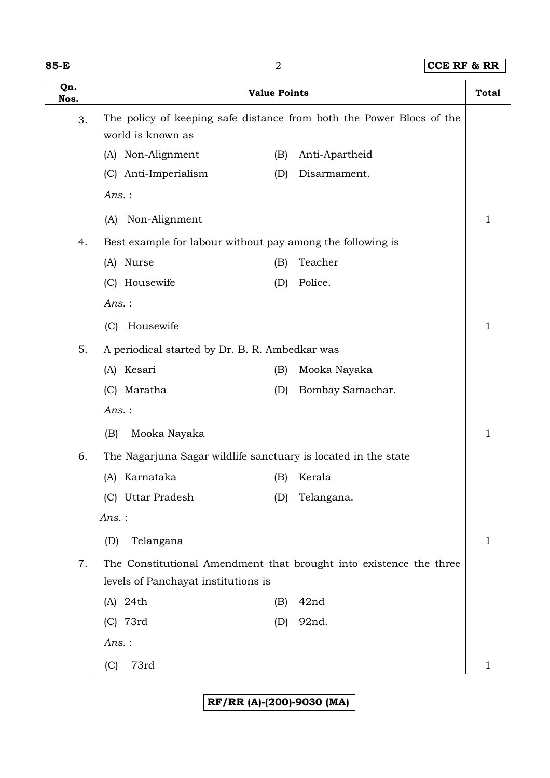| M.<br>×<br>v<br>۰. |  |
|--------------------|--|
|--------------------|--|

**85-E** 2 **CCE RF & RR**

| Qn.<br>Nos. | <b>Value Points</b>                                            |     |                                                                      | <b>Total</b> |
|-------------|----------------------------------------------------------------|-----|----------------------------------------------------------------------|--------------|
| 3.          | world is known as                                              |     | The policy of keeping safe distance from both the Power Blocs of the |              |
|             | Non-Alignment<br>(A)                                           | (B) | Anti-Apartheid                                                       |              |
|             | (C) Anti-Imperialism                                           | (D) | Disarmament.                                                         |              |
|             | Ans.:                                                          |     |                                                                      |              |
|             | Non-Alignment<br>(A)                                           |     |                                                                      | 1            |
| 4.          | Best example for labour without pay among the following is     |     |                                                                      |              |
|             | (A) Nurse                                                      | (B) | Teacher                                                              |              |
|             | (C) Housewife                                                  | (D) | Police.                                                              |              |
|             | $Ans.$ :                                                       |     |                                                                      |              |
|             | Housewife<br>(C)                                               |     |                                                                      | 1            |
| 5.          | A periodical started by Dr. B. R. Ambedkar was                 |     |                                                                      |              |
|             | Kesari<br>(A)                                                  | (B) | Mooka Nayaka                                                         |              |
|             | (C) Maratha                                                    | (D) | Bombay Samachar.                                                     |              |
|             | Ans.:                                                          |     |                                                                      |              |
|             | Mooka Nayaka<br>(B)                                            |     |                                                                      | 1            |
| 6.          | The Nagarjuna Sagar wildlife sanctuary is located in the state |     |                                                                      |              |
|             | Karnataka<br>(A)                                               | (B) | Kerala                                                               |              |
|             | (C) Uttar Pradesh                                              | (D) | Telangana.                                                           |              |
|             | $Ans.$ :                                                       |     |                                                                      |              |
|             | Telangana<br>(D)                                               |     |                                                                      | 1            |
| 7.          |                                                                |     | The Constitutional Amendment that brought into existence the three   |              |
|             | levels of Panchayat institutions is                            |     |                                                                      |              |
|             | $(A)$ 24th                                                     | (B) | 42nd                                                                 |              |
|             | (C) 73rd                                                       | (D) | 92nd.                                                                |              |
|             | Ans.:                                                          |     |                                                                      |              |
|             | 73rd<br>(C)                                                    |     |                                                                      | 1            |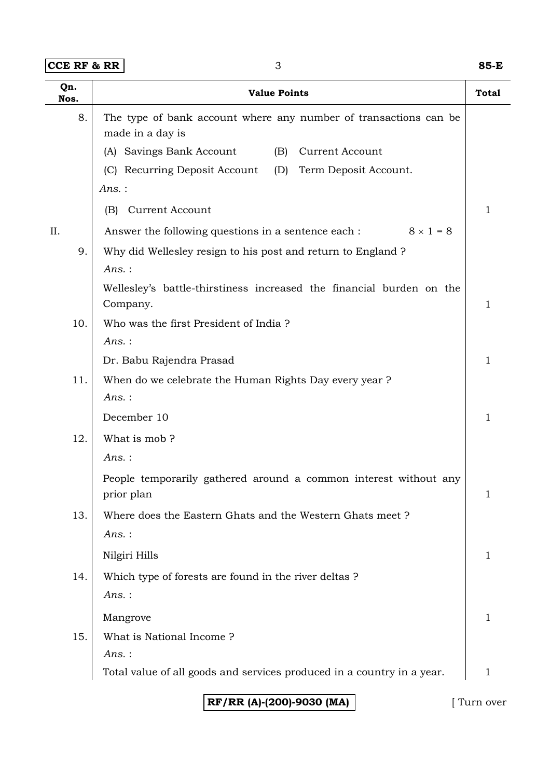**CCE RF & RR** 3 **85-E**

| Qn.<br>Nos. | <b>Value Points</b>                                                                  |   |
|-------------|--------------------------------------------------------------------------------------|---|
| 8.          | The type of bank account where any number of transactions can be<br>made in a day is |   |
|             | (A) Savings Bank Account<br>(B)<br>Current Account                                   |   |
|             | (C) Recurring Deposit Account<br>(D)<br>Term Deposit Account.                        |   |
|             | $Ans.$ :                                                                             |   |
|             | <b>Current Account</b><br>(B)                                                        | 1 |
| II.         | $8 \times 1 = 8$<br>Answer the following questions in a sentence each :              |   |
| 9.          | Why did Wellesley resign to his post and return to England ?                         |   |
|             | Ans.:                                                                                |   |
|             | Wellesley's battle-thirstiness increased the financial burden on the<br>Company.     | 1 |
| 10.         | Who was the first President of India?                                                |   |
|             | Ans.:                                                                                |   |
|             | Dr. Babu Rajendra Prasad                                                             | 1 |
| 11.         | When do we celebrate the Human Rights Day every year?                                |   |
|             | Ans.:                                                                                |   |
|             | December 10                                                                          | 1 |
| 12.         | What is mob?                                                                         |   |
|             | Ans. :                                                                               |   |
|             | People temporarily gathered around a common interest without any<br>prior plan       | 1 |
| 13.         | Where does the Eastern Ghats and the Western Ghats meet?                             |   |
|             | Ans.:                                                                                |   |
|             | Nilgiri Hills                                                                        | 1 |
| 14.         | Which type of forests are found in the river deltas?                                 |   |
|             | $Ans.$ :                                                                             |   |
|             | Mangrove                                                                             | 1 |
| 15.         | What is National Income?                                                             |   |
|             | Ans.:                                                                                |   |
|             | Total value of all goods and services produced in a country in a year.               | 1 |

**RF/RR (A)-(200)-9030 (MA)** [ Turn over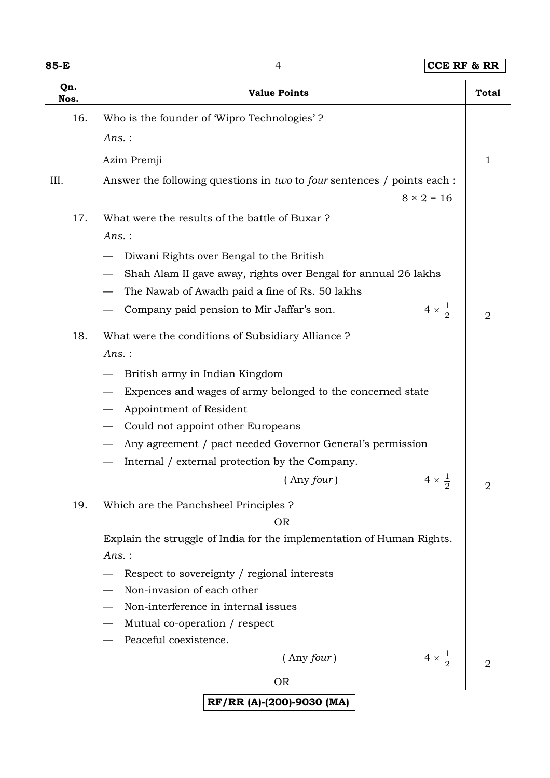## **85-E** 4 **CCE RF & RR**

| Qn.<br>Nos. | <b>Value Points</b>                                                     | <b>Total</b> |  |  |
|-------------|-------------------------------------------------------------------------|--------------|--|--|
| 16.         | Who is the founder of Wipro Technologies'?                              |              |  |  |
|             | $Ans.$ :                                                                |              |  |  |
|             | Azim Premji                                                             | 1            |  |  |
| III.        | Answer the following questions in two to four sentences / points each : |              |  |  |
|             | $8 \times 2 = 16$                                                       |              |  |  |
| 17.         | What were the results of the battle of Buxar?                           |              |  |  |
|             | $Ans.$ :                                                                |              |  |  |
|             | Diwani Rights over Bengal to the British                                |              |  |  |
|             | Shah Alam II gave away, rights over Bengal for annual 26 lakhs          |              |  |  |
|             | The Nawab of Awadh paid a fine of Rs. 50 lakhs                          |              |  |  |
|             | $4 \times \frac{1}{2}$<br>Company paid pension to Mir Jaffar's son.     | 2            |  |  |
| 18.         | What were the conditions of Subsidiary Alliance?                        |              |  |  |
|             | $Ans.$ :                                                                |              |  |  |
|             | British army in Indian Kingdom                                          |              |  |  |
|             | Expences and wages of army belonged to the concerned state              |              |  |  |
|             | Appointment of Resident                                                 |              |  |  |
|             | Could not appoint other Europeans                                       |              |  |  |
|             | Any agreement / pact needed Governor General's permission               |              |  |  |
|             | Internal / external protection by the Company.                          |              |  |  |
|             | $4 \times \frac{1}{2}$<br>$($ Any four $)$                              | 2            |  |  |
| 19.         | Which are the Panchsheel Principles ?                                   |              |  |  |
|             | <b>OR</b>                                                               |              |  |  |
|             | Explain the struggle of India for the implementation of Human Rights.   |              |  |  |
|             | $Ans.$ :                                                                |              |  |  |
|             | Respect to sovereignty / regional interests                             |              |  |  |
|             | Non-invasion of each other                                              |              |  |  |
|             | Non-interference in internal issues<br>Mutual co-operation / respect    |              |  |  |
|             | Peaceful coexistence.                                                   |              |  |  |
|             | $4 \times \frac{1}{2}$<br>$($ Any four $)$                              |              |  |  |
|             | <b>OR</b>                                                               |              |  |  |
|             | RF/RR (A)-(200)-9030 (MA)                                               |              |  |  |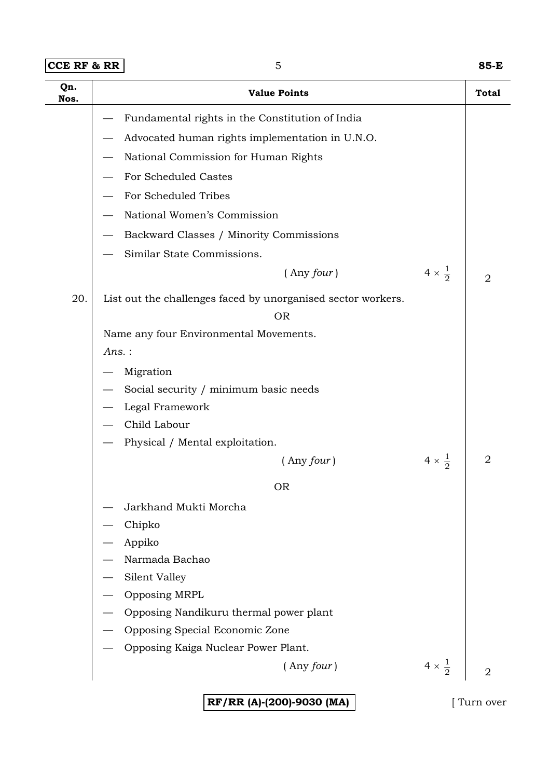| 85-E |
|------|
|      |

| Qn.<br>Nos. | <b>Value Points</b>                                                       |                        | Total          |  |
|-------------|---------------------------------------------------------------------------|------------------------|----------------|--|
|             | Fundamental rights in the Constitution of India                           |                        |                |  |
|             | Advocated human rights implementation in U.N.O.                           |                        |                |  |
|             | National Commission for Human Rights                                      |                        |                |  |
|             | For Scheduled Castes                                                      |                        |                |  |
|             | For Scheduled Tribes                                                      |                        |                |  |
|             | National Women's Commission                                               |                        |                |  |
|             | Backward Classes / Minority Commissions                                   |                        |                |  |
|             | Similar State Commissions.                                                |                        |                |  |
|             | $($ Any four $)$                                                          | $4 \times \frac{1}{2}$ | $\overline{2}$ |  |
| 20.         | List out the challenges faced by unorganised sector workers.<br><b>OR</b> |                        |                |  |
|             | Name any four Environmental Movements.                                    |                        |                |  |
|             | Ans.:                                                                     |                        |                |  |
|             | Migration                                                                 |                        |                |  |
|             | Social security / minimum basic needs                                     |                        |                |  |
|             | Legal Framework                                                           |                        |                |  |
|             | Child Labour                                                              |                        |                |  |
|             | Physical / Mental exploitation.                                           |                        |                |  |
|             | $($ Any four $)$                                                          | $4 \times \frac{1}{2}$ | $\overline{2}$ |  |
|             | <b>OR</b>                                                                 |                        |                |  |
|             | Jarkhand Mukti Morcha                                                     |                        |                |  |
|             | Chipko                                                                    |                        |                |  |
|             | Appiko                                                                    |                        |                |  |
|             | Narmada Bachao                                                            |                        |                |  |
|             | Silent Valley                                                             |                        |                |  |
|             | Opposing MRPL                                                             |                        |                |  |
|             | Opposing Nandikuru thermal power plant                                    |                        |                |  |
|             | Opposing Special Economic Zone                                            |                        |                |  |
|             | Opposing Kaiga Nuclear Power Plant.                                       |                        |                |  |
|             | $($ Any four $)$                                                          | $4 \times \frac{1}{2}$ | $\overline{2}$ |  |
|             | RF/RR (A)-(200)-9030 (MA)                                                 |                        | Turn over      |  |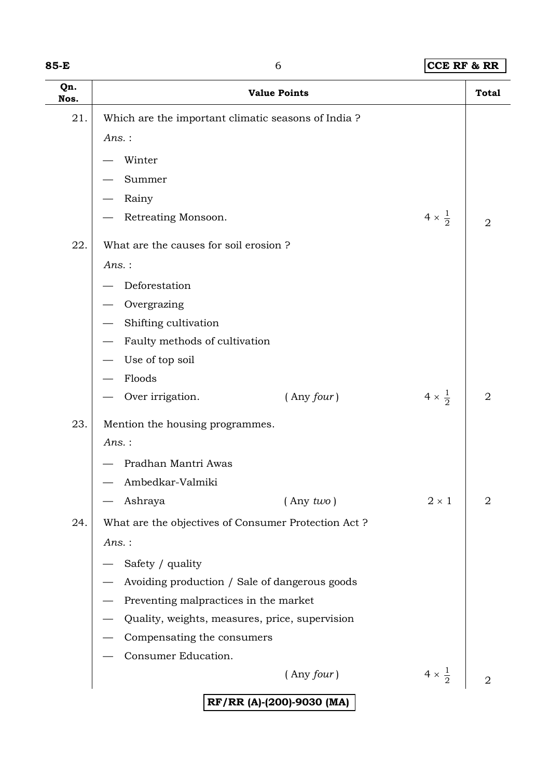| ×<br>×<br>M.<br>v<br>۰. |  |
|-------------------------|--|
|-------------------------|--|

#### **85-8 <b>CCE RF & RR**

| Qn.<br>Nos. |                                                     | <b>Value Points</b>       |                        | <b>Total</b>   |
|-------------|-----------------------------------------------------|---------------------------|------------------------|----------------|
| 21.         | Which are the important climatic seasons of India?  |                           |                        |                |
|             | $Ans.$ :                                            |                           |                        |                |
|             | Winter                                              |                           |                        |                |
|             | Summer                                              |                           |                        |                |
|             | Rainy                                               |                           |                        |                |
|             | Retreating Monsoon.                                 |                           | $4 \times \frac{1}{2}$ | $\overline{2}$ |
| 22.         | What are the causes for soil erosion?               |                           |                        |                |
|             | Ans.:                                               |                           |                        |                |
|             | Deforestation                                       |                           |                        |                |
|             | Overgrazing                                         |                           |                        |                |
|             | Shifting cultivation                                |                           |                        |                |
|             | Faulty methods of cultivation                       |                           |                        |                |
|             | Use of top soil                                     |                           |                        |                |
|             | Floods                                              |                           |                        |                |
|             | Over irrigation.                                    | $($ Any four $)$          | $4 \times \frac{1}{2}$ | $\overline{2}$ |
| 23.         | Mention the housing programmes.                     |                           |                        |                |
|             | $Ans.$ :                                            |                           |                        |                |
|             | Pradhan Mantri Awas                                 |                           |                        |                |
|             | Ambedkar-Valmiki                                    |                           |                        |                |
|             | Ashraya                                             | $($ Any two $)$           | $2\times1$             | $\overline{2}$ |
| 24.         | What are the objectives of Consumer Protection Act? |                           |                        |                |
|             | $Ans.$ :                                            |                           |                        |                |
|             | Safety / quality                                    |                           |                        |                |
|             | Avoiding production / Sale of dangerous goods       |                           |                        |                |
|             | Preventing malpractices in the market               |                           |                        |                |
|             | Quality, weights, measures, price, supervision      |                           |                        |                |
|             | Compensating the consumers                          |                           |                        |                |
|             | Consumer Education.                                 |                           |                        |                |
|             |                                                     | $($ Any four $)$          | $4 \times \frac{1}{2}$ | 2              |
|             |                                                     | RF/RR (A)-(200)-9030 (MA) |                        |                |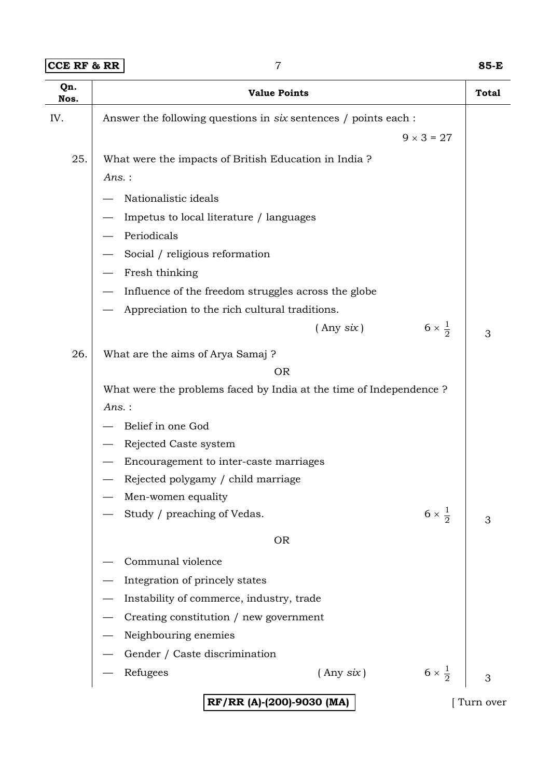**CCE RF & RR** 7 **85-E**

| Qn.<br>Nos. | <b>Value Points</b>                                                | <b>Total</b> |  |  |  |
|-------------|--------------------------------------------------------------------|--------------|--|--|--|
| IV.         | Answer the following questions in six sentences / points each :    |              |  |  |  |
|             | $9 \times 3 = 27$                                                  |              |  |  |  |
| 25.         | What were the impacts of British Education in India?               |              |  |  |  |
|             | $Ans.$ :                                                           |              |  |  |  |
|             | Nationalistic ideals                                               |              |  |  |  |
|             | Impetus to local literature / languages                            |              |  |  |  |
|             | Periodicals                                                        |              |  |  |  |
|             | Social / religious reformation                                     |              |  |  |  |
|             | Fresh thinking                                                     |              |  |  |  |
|             | Influence of the freedom struggles across the globe                |              |  |  |  |
|             | Appreciation to the rich cultural traditions.                      |              |  |  |  |
|             | $6 \times \frac{1}{2}$<br>$($ Any $six)$                           | 3            |  |  |  |
| 26.         | What are the aims of Arya Samaj?                                   |              |  |  |  |
|             | <b>OR</b>                                                          |              |  |  |  |
|             | What were the problems faced by India at the time of Independence? |              |  |  |  |
|             | $Ans.$ :                                                           |              |  |  |  |
|             | Belief in one God                                                  |              |  |  |  |
|             | Rejected Caste system                                              |              |  |  |  |
|             | Encouragement to inter-caste marriages                             |              |  |  |  |
|             | Rejected polygamy / child marriage                                 |              |  |  |  |
|             | Men-women equality                                                 |              |  |  |  |
|             | $6 \times \frac{1}{2}$<br>Study / preaching of Vedas.              | 3            |  |  |  |
|             | <b>OR</b>                                                          |              |  |  |  |
|             | Communal violence                                                  |              |  |  |  |
|             | Integration of princely states                                     |              |  |  |  |
|             | Instability of commerce, industry, trade                           |              |  |  |  |
|             | Creating constitution / new government                             |              |  |  |  |
|             | Neighbouring enemies                                               |              |  |  |  |
|             | Gender / Caste discrimination                                      |              |  |  |  |
|             | $6 \times \frac{1}{2}$<br>Refugees<br>$($ Any $six)$               | 3            |  |  |  |
|             | RF/RR (A)-(200)-9030 (MA)                                          | Turn over    |  |  |  |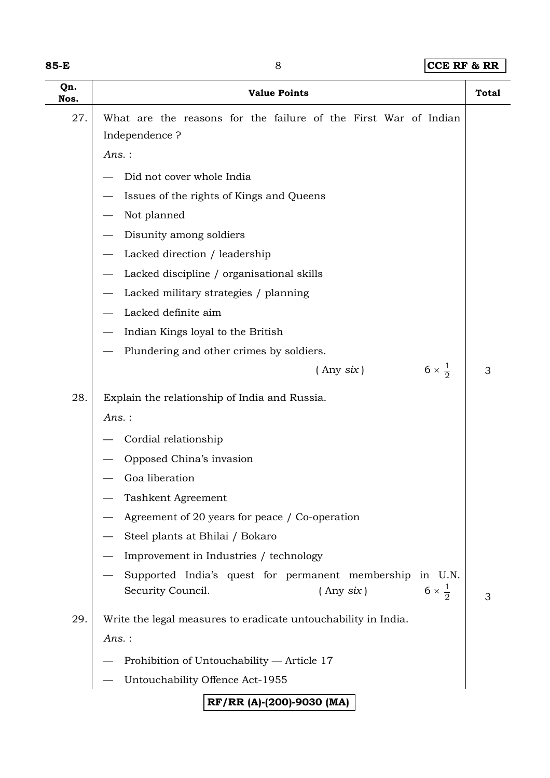| ×<br>w<br>×<br>۰.<br>v |  |
|------------------------|--|
|------------------------|--|

## 8 **CCE RF & RR**

| Qn.<br>Nos. | <b>Value Points</b>                                                                                                       | <b>Total</b> |
|-------------|---------------------------------------------------------------------------------------------------------------------------|--------------|
| 27.         | What are the reasons for the failure of the First War of Indian<br>Independence?<br>$Ans.$ :                              |              |
|             | Did not cover whole India                                                                                                 |              |
|             | Issues of the rights of Kings and Queens                                                                                  |              |
|             | Not planned                                                                                                               |              |
|             | Disunity among soldiers                                                                                                   |              |
|             | Lacked direction / leadership                                                                                             |              |
|             | Lacked discipline / organisational skills                                                                                 |              |
|             | Lacked military strategies / planning                                                                                     |              |
|             | Lacked definite aim                                                                                                       |              |
|             | Indian Kings loyal to the British                                                                                         |              |
|             | Plundering and other crimes by soldiers.                                                                                  |              |
|             | $6 \times \frac{1}{2}$<br>$($ Any six)                                                                                    | 3            |
| 28.         | Explain the relationship of India and Russia.                                                                             |              |
|             | Ans.:                                                                                                                     |              |
|             | Cordial relationship                                                                                                      |              |
|             | Opposed China's invasion                                                                                                  |              |
|             | Goa liberation                                                                                                            |              |
|             | Tashkent Agreement                                                                                                        |              |
|             | Agreement of 20 years for peace / Co-operation                                                                            |              |
|             | Steel plants at Bhilai / Bokaro                                                                                           |              |
|             | Improvement in Industries / technology                                                                                    |              |
|             | Supported India's quest for permanent membership in U.N.<br>$6 \times \frac{1}{2}$<br>$($ Any $six)$<br>Security Council. | 3            |
| 29.         | Write the legal measures to eradicate untouchability in India.                                                            |              |
|             | $Ans.$ :                                                                                                                  |              |
|             | Prohibition of Untouchability - Article 17                                                                                |              |
|             | Untouchability Offence Act-1955                                                                                           |              |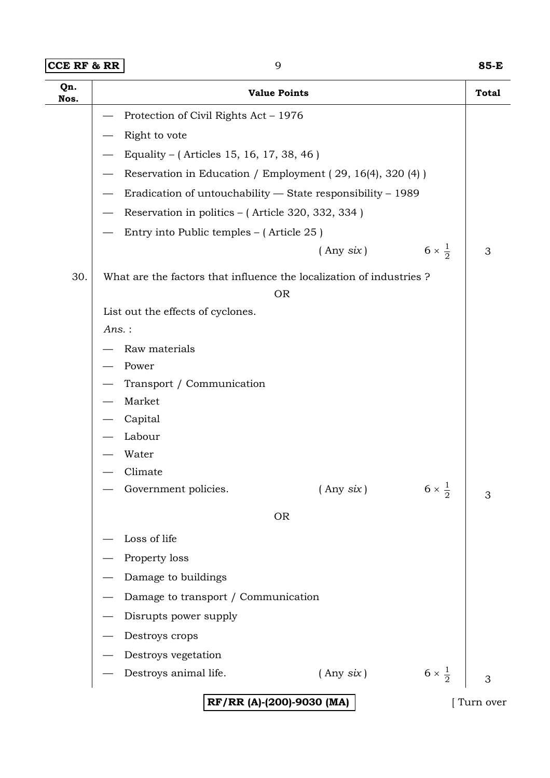| $ CCE$ RF & RR $ $ | 85-E |
|--------------------|------|

| Qn.<br>Nos. | <b>Value Points</b>                                                 |                                          |                        | <b>Total</b> |  |
|-------------|---------------------------------------------------------------------|------------------------------------------|------------------------|--------------|--|
|             | Protection of Civil Rights Act - 1976                               |                                          |                        |              |  |
|             | Right to vote                                                       |                                          |                        |              |  |
|             | Equality – (Articles 15, 16, 17, 38, 46)                            |                                          |                        |              |  |
|             | Reservation in Education / Employment (29, 16(4), 320 (4))          |                                          |                        |              |  |
|             | Eradication of untouchability - State responsibility - 1989         |                                          |                        |              |  |
|             | Reservation in politics – (Article 320, 332, 334)                   |                                          |                        |              |  |
|             | Entry into Public temples – (Article 25)                            |                                          |                        |              |  |
|             |                                                                     | $($ Any $six)$                           | $6 \times \frac{1}{2}$ | 3            |  |
| 30.         | What are the factors that influence the localization of industries? |                                          |                        |              |  |
|             |                                                                     | <b>OR</b>                                |                        |              |  |
|             | List out the effects of cyclones.                                   |                                          |                        |              |  |
|             | Ans.:                                                               |                                          |                        |              |  |
|             | Raw materials                                                       |                                          |                        |              |  |
|             | Power                                                               |                                          |                        |              |  |
|             | Transport / Communication<br>Market                                 |                                          |                        |              |  |
|             | Capital                                                             |                                          |                        |              |  |
|             | Labour                                                              |                                          |                        |              |  |
|             | Water                                                               |                                          |                        |              |  |
|             | Climate                                                             |                                          |                        |              |  |
|             | - Government policies.                                              | $($ Any $six)$                           | $6 \times \frac{1}{2}$ | 3            |  |
|             |                                                                     | <b>OR</b>                                |                        |              |  |
|             | Loss of life                                                        |                                          |                        |              |  |
|             | Property loss                                                       |                                          |                        |              |  |
|             | Damage to buildings                                                 |                                          |                        |              |  |
|             | Damage to transport / Communication                                 |                                          |                        |              |  |
|             | Disrupts power supply                                               |                                          |                        |              |  |
|             | Destroys crops                                                      |                                          |                        |              |  |
|             | Destroys vegetation                                                 |                                          |                        |              |  |
|             | Destroys animal life.                                               | $($ Any six $)$                          | $6 \times \frac{1}{2}$ | 3            |  |
|             |                                                                     | RF/RR (A)-(200)-9030 (MA)<br>[Turn over] |                        |              |  |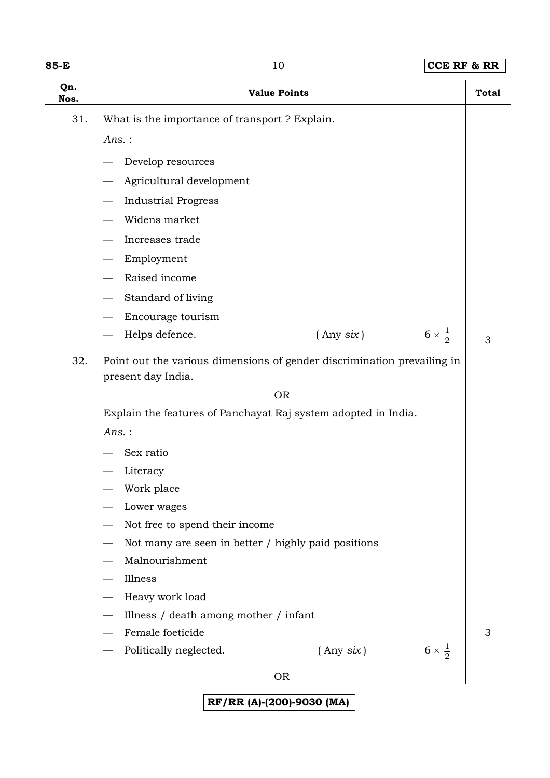| ×<br>w<br>×<br>v<br>۰. |  |
|------------------------|--|
|------------------------|--|

#### **85-10 <b>CCE RF & RR**

| Qn.<br>Nos. |                                                                                               | <b>Value Points</b> | <b>Total</b>                |
|-------------|-----------------------------------------------------------------------------------------------|---------------------|-----------------------------|
| 31.         | What is the importance of transport ? Explain.                                                |                     |                             |
|             | $Ans.$ :                                                                                      |                     |                             |
|             | Develop resources                                                                             |                     |                             |
|             | Agricultural development                                                                      |                     |                             |
|             | <b>Industrial Progress</b>                                                                    |                     |                             |
|             | Widens market                                                                                 |                     |                             |
|             | Increases trade                                                                               |                     |                             |
|             | Employment                                                                                    |                     |                             |
|             | Raised income                                                                                 |                     |                             |
|             | Standard of living                                                                            |                     |                             |
|             | Encourage tourism                                                                             |                     |                             |
|             | Helps defence.                                                                                | $($ Any $six)$      | $6 \times \frac{1}{2}$<br>3 |
| 32.         | Point out the various dimensions of gender discrimination prevailing in<br>present day India. |                     |                             |
|             |                                                                                               | <b>OR</b>           |                             |
|             | Explain the features of Panchayat Raj system adopted in India.                                |                     |                             |
|             | $Ans.$ :                                                                                      |                     |                             |
|             | Sex ratio                                                                                     |                     |                             |
|             | Literacy<br>Work place                                                                        |                     |                             |
|             | Lower wages                                                                                   |                     |                             |
|             | Not free to spend their income                                                                |                     |                             |
|             | Not many are seen in better / highly paid positions                                           |                     |                             |
|             | Malnourishment                                                                                |                     |                             |
|             | Illness                                                                                       |                     |                             |
|             | Heavy work load                                                                               |                     |                             |
|             | Illness / death among mother / infant                                                         |                     |                             |
|             | Female foeticide                                                                              |                     | 3                           |
|             | Politically neglected.                                                                        | $($ Any six $)$     | $6 \times \frac{1}{2}$      |
|             |                                                                                               | <b>OR</b>           |                             |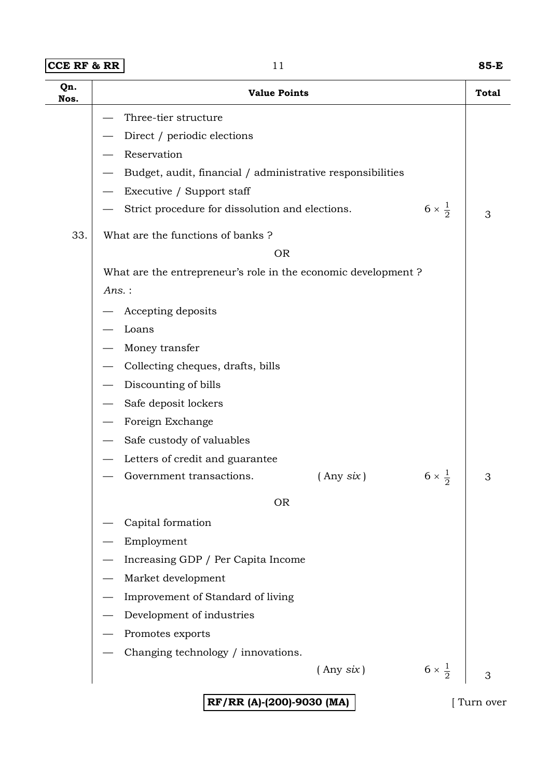| $ CCE$ RF & RR | 85-E |
|----------------|------|
|----------------|------|

| Qn.<br>Nos. | <b>Value Points</b>                                                       | <b>Total</b> |
|-------------|---------------------------------------------------------------------------|--------------|
|             | Three-tier structure                                                      |              |
|             | Direct / periodic elections                                               |              |
|             | Reservation                                                               |              |
|             | Budget, audit, financial / administrative responsibilities                |              |
|             | Executive / Support staff                                                 |              |
|             | $6 \times \frac{1}{2}$<br>Strict procedure for dissolution and elections. | 3            |
| 33.         | What are the functions of banks?                                          |              |
|             | <b>OR</b>                                                                 |              |
|             | What are the entrepreneur's role in the economic development?             |              |
|             | Ans.:                                                                     |              |
|             | Accepting deposits                                                        |              |
|             | Loans                                                                     |              |
|             | Money transfer                                                            |              |
|             | Collecting cheques, drafts, bills                                         |              |
|             | Discounting of bills                                                      |              |
|             | Safe deposit lockers                                                      |              |
|             | Foreign Exchange                                                          |              |
|             | Safe custody of valuables                                                 |              |
|             | Letters of credit and guarantee                                           |              |
|             | $6 \times \frac{1}{2}$<br>Government transactions.<br>$($ Any six)        | 3            |
|             | <b>OR</b>                                                                 |              |
|             | Capital formation                                                         |              |
|             | Employment                                                                |              |
|             | Increasing GDP / Per Capita Income                                        |              |
|             | Market development                                                        |              |
|             | Improvement of Standard of living                                         |              |
|             | Development of industries                                                 |              |
|             | Promotes exports                                                          |              |
|             | Changing technology / innovations.                                        |              |
|             | $6 \times \frac{1}{2}$<br>$($ Any six $)$                                 | 3            |
|             | RF/RR (A)-(200)-9030 (MA)                                                 | Turn over    |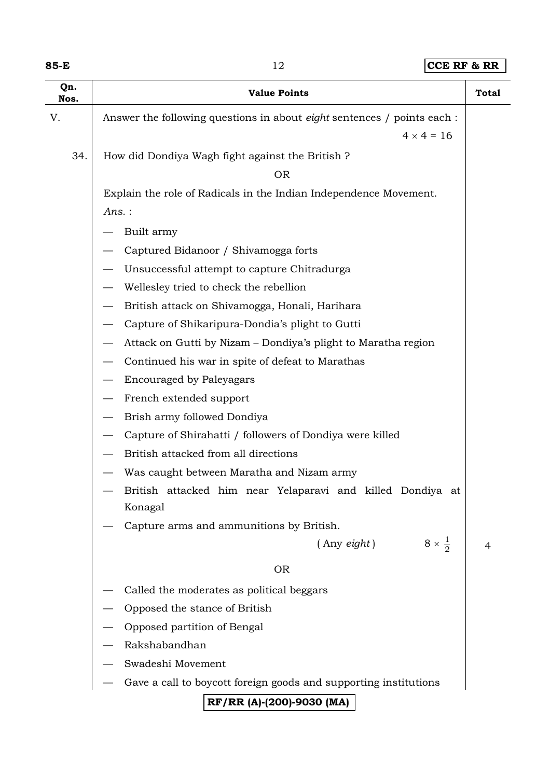| w<br>۰, |  |
|---------|--|
|---------|--|

**85-E** 12 **CCE RF & RR**

| Qn.<br>Nos.                                             | <b>Value Points</b>                                                            | <b>Total</b> |
|---------------------------------------------------------|--------------------------------------------------------------------------------|--------------|
| V.                                                      | Answer the following questions in about <i>eight</i> sentences / points each : |              |
|                                                         | $4 \times 4 = 16$                                                              |              |
| 34.<br>How did Dondiya Wagh fight against the British ? |                                                                                |              |
|                                                         | <b>OR</b>                                                                      |              |
|                                                         | Explain the role of Radicals in the Indian Independence Movement.              |              |
|                                                         | $Ans.$ :                                                                       |              |
|                                                         | Built army                                                                     |              |
|                                                         | Captured Bidanoor / Shivamogga forts                                           |              |
|                                                         | Unsuccessful attempt to capture Chitradurga                                    |              |
|                                                         | Wellesley tried to check the rebellion                                         |              |
|                                                         | British attack on Shivamogga, Honali, Harihara                                 |              |
|                                                         | Capture of Shikaripura-Dondia's plight to Gutti                                |              |
|                                                         | Attack on Gutti by Nizam – Dondiya's plight to Maratha region                  |              |
|                                                         | Continued his war in spite of defeat to Marathas                               |              |
|                                                         | <b>Encouraged by Paleyagars</b>                                                |              |
|                                                         | French extended support                                                        |              |
|                                                         | Brish army followed Dondiya                                                    |              |
|                                                         | Capture of Shirahatti / followers of Dondiya were killed                       |              |
|                                                         | British attacked from all directions                                           |              |
|                                                         | Was caught between Maratha and Nizam army                                      |              |
|                                                         | British attacked him near Yelaparavi and killed Dondiya at                     |              |
|                                                         | Konagal                                                                        |              |
|                                                         | Capture arms and ammunitions by British.                                       |              |
|                                                         | $8 \times \frac{1}{2}$<br>$($ Any $\dot{e}$ ight $)$                           | 4            |
|                                                         | <b>OR</b>                                                                      |              |
|                                                         | Called the moderates as political beggars                                      |              |
|                                                         | Opposed the stance of British                                                  |              |
|                                                         | Opposed partition of Bengal                                                    |              |
|                                                         | Rakshabandhan                                                                  |              |
|                                                         | Swadeshi Movement                                                              |              |
|                                                         | Gave a call to boycott foreign goods and supporting institutions               |              |
|                                                         | RF/RR (A)-(200)-9030 (MA)                                                      |              |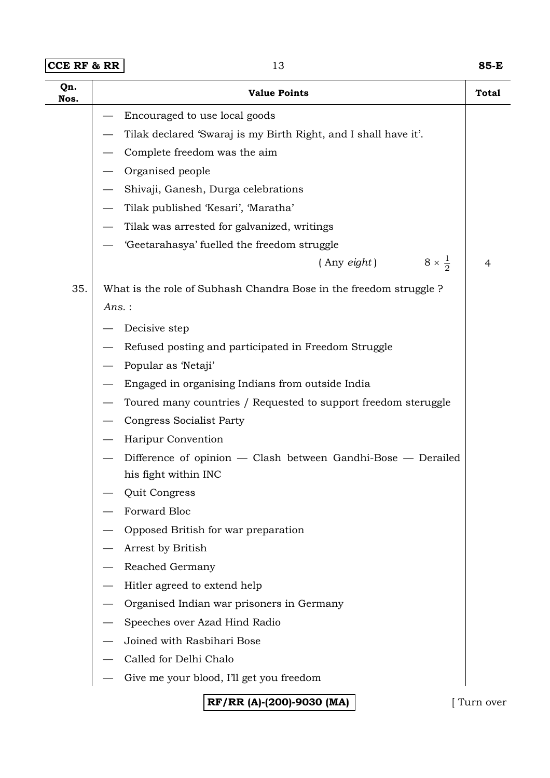| $ {\tt CCE}$ RF & RR $ $ |
|--------------------------|
|                          |

| Qn.<br>Nos. | <b>Value Points</b>                                               | <b>Total</b> |
|-------------|-------------------------------------------------------------------|--------------|
|             | Encouraged to use local goods                                     |              |
|             | Tilak declared 'Swaraj is my Birth Right, and I shall have it'.   |              |
|             | Complete freedom was the aim                                      |              |
|             | Organised people                                                  |              |
|             | Shivaji, Ganesh, Durga celebrations                               |              |
|             | Tilak published 'Kesari', 'Maratha'                               |              |
|             | Tilak was arrested for galvanized, writings                       |              |
|             | 'Geetarahasya' fuelled the freedom struggle                       |              |
|             | $8 \times \frac{1}{2}$<br>$($ Any $\text{eight}$ )                | 4            |
| 35.         | What is the role of Subhash Chandra Bose in the freedom struggle? |              |
|             | Ans.:                                                             |              |
|             | Decisive step                                                     |              |
|             | Refused posting and participated in Freedom Struggle              |              |
|             | Popular as 'Netaji'                                               |              |
|             | Engaged in organising Indians from outside India                  |              |
|             | Toured many countries / Requested to support freedom steruggle    |              |
|             | <b>Congress Socialist Party</b>                                   |              |
|             | Haripur Convention                                                |              |
|             | Difference of opinion - Clash between Gandhi-Bose - Derailed      |              |
|             | his fight within INC                                              |              |
|             | Quit Congress                                                     |              |
|             | Forward Bloc                                                      |              |
|             | Opposed British for war preparation                               |              |
|             | Arrest by British                                                 |              |
|             | Reached Germany                                                   |              |
|             | Hitler agreed to extend help                                      |              |
|             | Organised Indian war prisoners in Germany                         |              |
|             | Speeches over Azad Hind Radio                                     |              |
|             | Joined with Rasbihari Bose                                        |              |
|             | Called for Delhi Chalo                                            |              |
|             | Give me your blood, I'll get you freedom                          |              |
|             | RF/RR (A)-(200)-9030 (MA)                                         | Turn over    |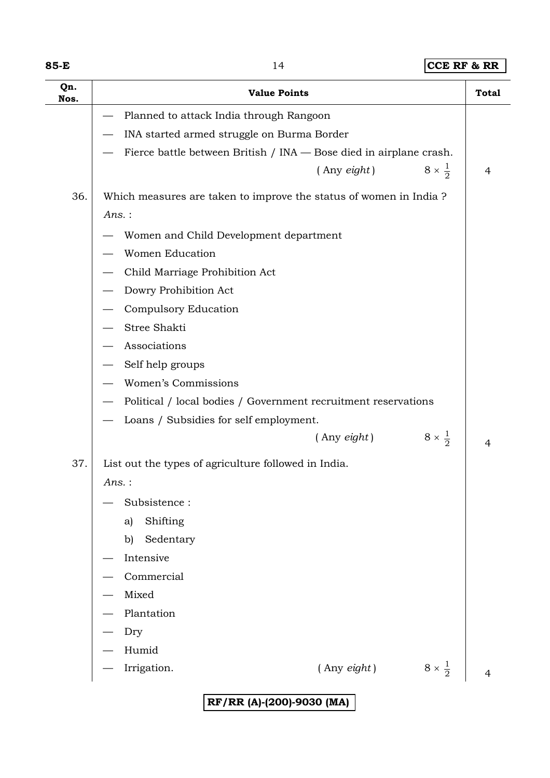| ×<br>w<br>×<br>۰.<br>v |  |
|------------------------|--|
|------------------------|--|

#### **85-14 CCE RF & RR**

| Qn.<br>Nos. | <b>Value Points</b>                                                | <b>Total</b> |
|-------------|--------------------------------------------------------------------|--------------|
|             | Planned to attack India through Rangoon                            |              |
|             | INA started armed struggle on Burma Border                         |              |
|             | Fierce battle between British / INA — Bose died in airplane crash. |              |
|             | $8 \times \frac{1}{2}$<br>$($ Any $\epsilon$ <i>ight</i> $)$       | 4            |
| 36.         | Which measures are taken to improve the status of women in India?  |              |
|             | Ans.:                                                              |              |
|             | Women and Child Development department                             |              |
|             | <b>Women Education</b>                                             |              |
|             | Child Marriage Prohibition Act                                     |              |
|             | Dowry Prohibition Act                                              |              |
|             | Compulsory Education                                               |              |
|             | Stree Shakti                                                       |              |
|             | Associations                                                       |              |
|             | Self help groups                                                   |              |
|             | Women's Commissions                                                |              |
|             | Political / local bodies / Government recruitment reservations     |              |
|             | Loans / Subsidies for self employment.                             |              |
|             | $8 \times \frac{1}{2}$<br>$($ Any eight $)$                        | 4            |
| 37.         | List out the types of agriculture followed in India.               |              |
|             | Ans.:                                                              |              |
|             | Subsistence:                                                       |              |
|             | Shifting<br>a)                                                     |              |
|             | Sedentary<br>b)                                                    |              |
|             | Intensive                                                          |              |
|             | Commercial                                                         |              |
|             | Mixed                                                              |              |
|             | Plantation                                                         |              |
|             | Dry                                                                |              |
|             | Humid                                                              |              |
|             | $8 \times \frac{1}{2}$<br>Irrigation.<br>$($ Any $\text{eight}$ )  | 4            |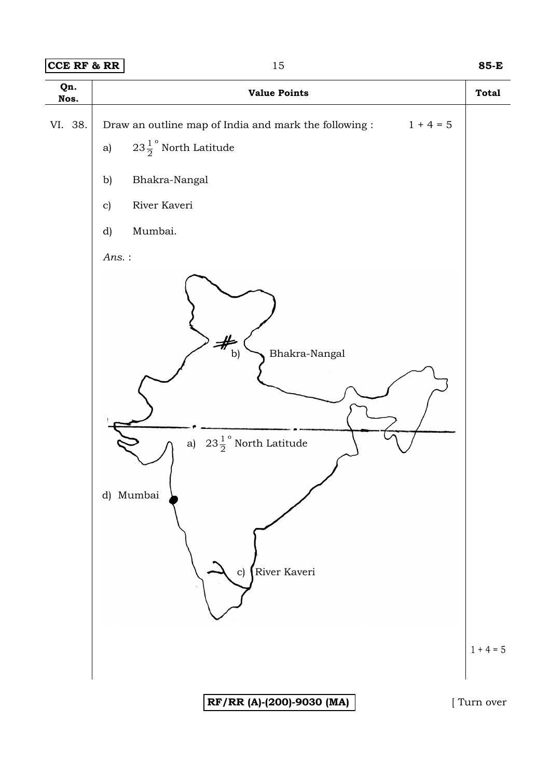#### **CCE RF & RR** 15 **85-E**